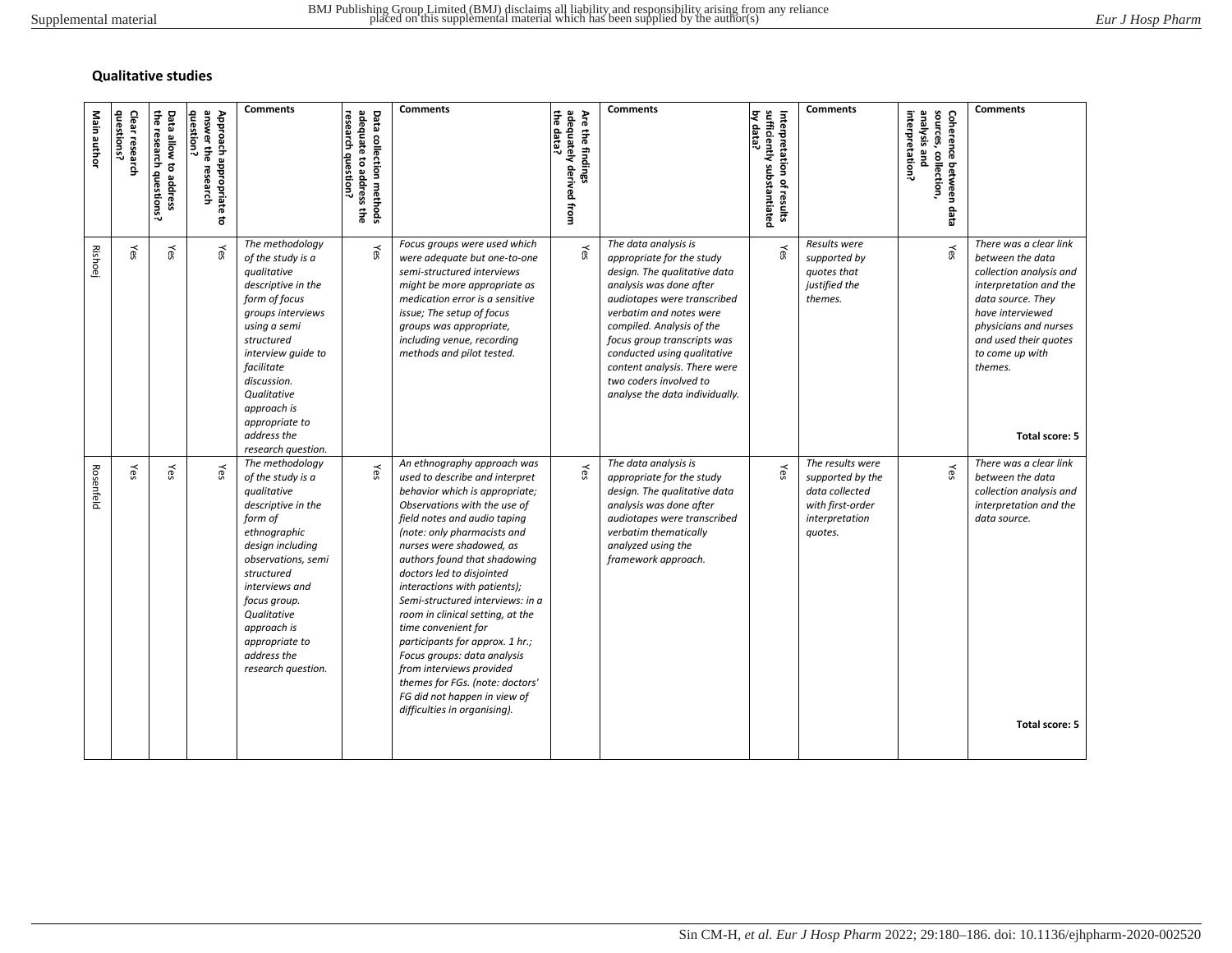## **Qualitative studies**

| <b>Comments</b><br><b>Comments</b><br><b>Comments</b><br>adequately derived from<br>by data?<br>sufficiently substantiated<br>sources, collection,<br>뭉<br>Are the findings<br>interpretation?<br>analysis and<br>Coherence between data<br>Interpretation of results<br>data? | The data analysis is<br>Results were<br>There was a clear link<br>Yes<br>Yes<br>Yes<br>appropriate for the study<br>supported by<br>between the data<br>design. The qualitative data<br>quotes that<br>collection analysis and<br>analysis was done after<br>justified the<br>interpretation and the<br>themes.<br>data source. They<br>audiotapes were transcribed<br>verbatim and notes were<br>have interviewed<br>physicians and nurses<br>compiled. Analysis of the<br>and used their quotes<br>focus group transcripts was<br>conducted using qualitative<br>to come up with<br>content analysis. There were<br>themes.<br>two coders involved to<br>analyse the data individually.<br>Total score: 5 | The data analysis is<br>The results were<br>There was a clear link<br>Yes<br>Yes<br>Yes<br>appropriate for the study<br>supported by the<br>between the data<br>design. The qualitative data<br>data collected<br>collection analysis and<br>analysis was done after<br>with first-order<br>interpretation and the<br>audiotapes were transcribed<br>interpretation<br>data source.<br>verbatim thematically<br>quotes.<br>analyzed using the<br>framework approach.<br>themes for FGs. (note: doctors'<br>FG did not happen in view of |
|--------------------------------------------------------------------------------------------------------------------------------------------------------------------------------------------------------------------------------------------------------------------------------|-------------------------------------------------------------------------------------------------------------------------------------------------------------------------------------------------------------------------------------------------------------------------------------------------------------------------------------------------------------------------------------------------------------------------------------------------------------------------------------------------------------------------------------------------------------------------------------------------------------------------------------------------------------------------------------------------------------|-----------------------------------------------------------------------------------------------------------------------------------------------------------------------------------------------------------------------------------------------------------------------------------------------------------------------------------------------------------------------------------------------------------------------------------------------------------------------------------------------------------------------------------------|
|                                                                                                                                                                                                                                                                                |                                                                                                                                                                                                                                                                                                                                                                                                                                                                                                                                                                                                                                                                                                             |                                                                                                                                                                                                                                                                                                                                                                                                                                                                                                                                         |
|                                                                                                                                                                                                                                                                                |                                                                                                                                                                                                                                                                                                                                                                                                                                                                                                                                                                                                                                                                                                             |                                                                                                                                                                                                                                                                                                                                                                                                                                                                                                                                         |
|                                                                                                                                                                                                                                                                                |                                                                                                                                                                                                                                                                                                                                                                                                                                                                                                                                                                                                                                                                                                             |                                                                                                                                                                                                                                                                                                                                                                                                                                                                                                                                         |
|                                                                                                                                                                                                                                                                                |                                                                                                                                                                                                                                                                                                                                                                                                                                                                                                                                                                                                                                                                                                             |                                                                                                                                                                                                                                                                                                                                                                                                                                                                                                                                         |
| <b>Comments</b>                                                                                                                                                                                                                                                                | Focus groups were used which<br>were adequate but one-to-one<br>semi-structured interviews<br>might be more appropriate as<br>medication error is a sensitive<br>issue; The setup of focus<br>groups was appropriate,<br>including venue, recording<br>methods and pilot tested.                                                                                                                                                                                                                                                                                                                                                                                                                            | An ethnography approach was<br>used to describe and interpret<br>behavior which is appropriate;<br>Observations with the use of<br>field notes and audio taping<br>(note: only pharmacists and<br>nurses were shadowed, as<br>authors found that shadowing<br>doctors led to disjointed<br>interactions with patients);<br>Semi-structured interviews: in a<br>room in clinical setting, at the<br>time convenient for<br>participants for approx. 1 hr.;<br>Focus groups: data analysis<br>from interviews provided                    |
| adequate to address the<br>research question?<br>Data collection methods                                                                                                                                                                                                       | Yes                                                                                                                                                                                                                                                                                                                                                                                                                                                                                                                                                                                                                                                                                                         | Yes                                                                                                                                                                                                                                                                                                                                                                                                                                                                                                                                     |
| <b>Comments</b>                                                                                                                                                                                                                                                                | The methodology<br>of the study is a<br>qualitative<br>descriptive in the<br>form of focus<br>groups interviews<br>using a semi<br>structured<br>interview quide to<br>facilitate<br>discussion.<br>Qualitative<br>approach is<br>appropriate to<br>address the                                                                                                                                                                                                                                                                                                                                                                                                                                             | research question.<br>The methodology<br>of the study is a<br>qualitative<br>descriptive in the<br>form of<br>ethnographic<br>design including<br>observations, semi<br>structured<br>interviews and<br>focus group.<br>Qualitative<br>approach is<br>appropriate to<br>address the<br>research question.                                                                                                                                                                                                                               |
| question?<br>answer the research<br>Approach appropriate<br>៩                                                                                                                                                                                                                  | Yes                                                                                                                                                                                                                                                                                                                                                                                                                                                                                                                                                                                                                                                                                                         | Yes                                                                                                                                                                                                                                                                                                                                                                                                                                                                                                                                     |
| Data allow to address<br>the research<br>questions?                                                                                                                                                                                                                            | Yes                                                                                                                                                                                                                                                                                                                                                                                                                                                                                                                                                                                                                                                                                                         | Yes                                                                                                                                                                                                                                                                                                                                                                                                                                                                                                                                     |
| questions?<br>Clear research                                                                                                                                                                                                                                                   | Yes                                                                                                                                                                                                                                                                                                                                                                                                                                                                                                                                                                                                                                                                                                         | Yes                                                                                                                                                                                                                                                                                                                                                                                                                                                                                                                                     |
| Main author                                                                                                                                                                                                                                                                    | <b>Rishoej</b>                                                                                                                                                                                                                                                                                                                                                                                                                                                                                                                                                                                                                                                                                              | Rosenfeld                                                                                                                                                                                                                                                                                                                                                                                                                                                                                                                               |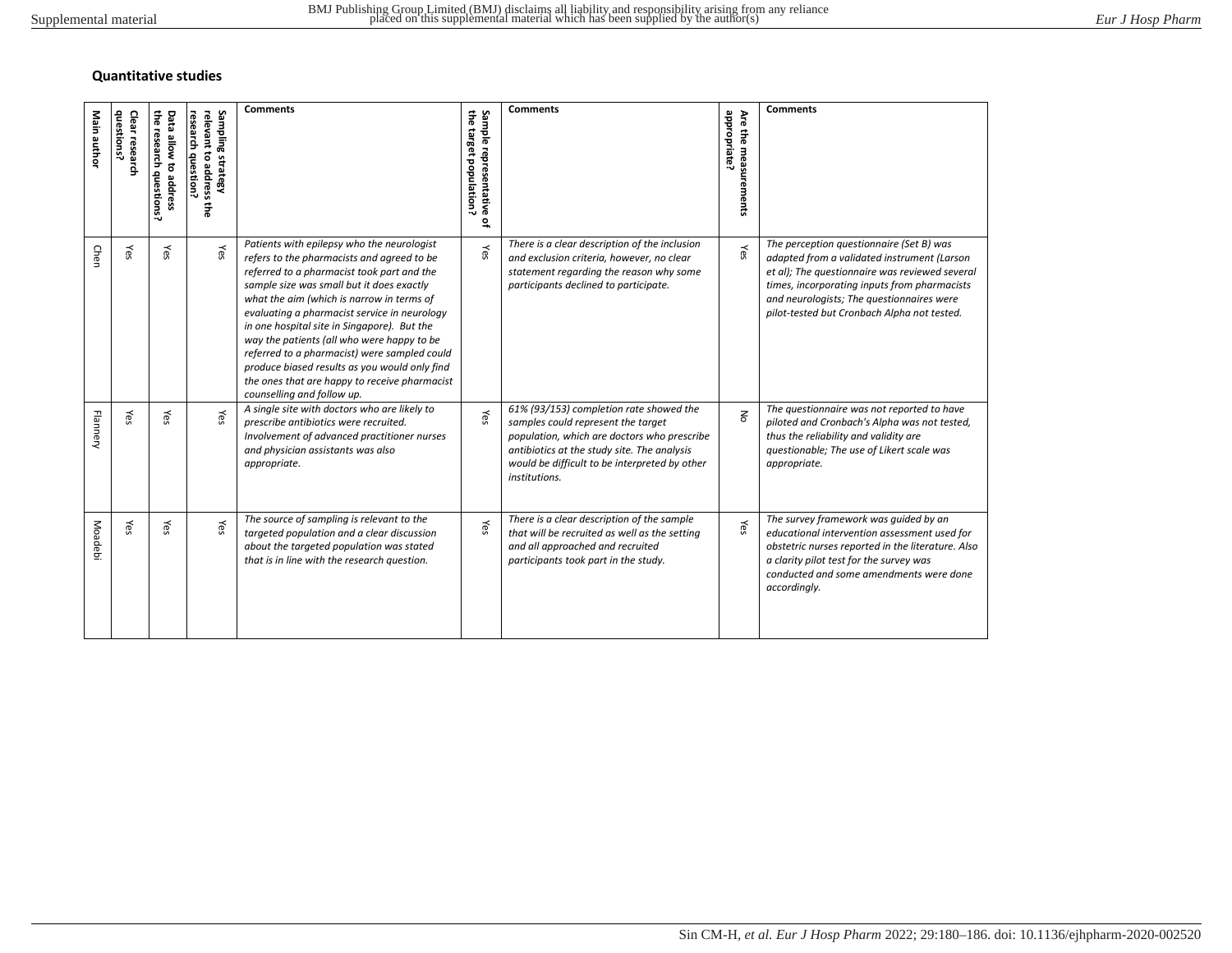## **Quantitative studies**

| Main author     | questions?<br>Clear researc | the research questions?<br>Data allow to address | research question?<br>Sampling strategy<br>relevant<br>to address<br>뚷 | <b>Comments</b>                                                                                                                                                                                                                                                                                                                                                                                                                                                                                                                                               | the target population?<br>Sample re<br>presentative<br>잎 | <b>Comments</b>                                                                                                                                                                                                                               | appropriate?<br>Are the measurements | <b>Comments</b>                                                                                                                                                                                                                                                                       |
|-----------------|-----------------------------|--------------------------------------------------|------------------------------------------------------------------------|---------------------------------------------------------------------------------------------------------------------------------------------------------------------------------------------------------------------------------------------------------------------------------------------------------------------------------------------------------------------------------------------------------------------------------------------------------------------------------------------------------------------------------------------------------------|----------------------------------------------------------|-----------------------------------------------------------------------------------------------------------------------------------------------------------------------------------------------------------------------------------------------|--------------------------------------|---------------------------------------------------------------------------------------------------------------------------------------------------------------------------------------------------------------------------------------------------------------------------------------|
| Chen            | Yes                         | Yes                                              | Yes                                                                    | Patients with epilepsy who the neurologist<br>refers to the pharmacists and agreed to be<br>referred to a pharmacist took part and the<br>sample size was small but it does exactly<br>what the aim (which is narrow in terms of<br>evaluating a pharmacist service in neurology<br>in one hospital site in Singapore). But the<br>way the patients (all who were happy to be<br>referred to a pharmacist) were sampled could<br>produce biased results as you would only find<br>the ones that are happy to receive pharmacist<br>counselling and follow up. | Yes                                                      | There is a clear description of the inclusion<br>and exclusion criteria, however, no clear<br>statement regarding the reason why some<br>participants declined to participate.                                                                | Yes                                  | The perception questionnaire (Set B) was<br>adapted from a validated instrument (Larson<br>et al); The questionnaire was reviewed several<br>times, incorporating inputs from pharmacists<br>and neurologists; The questionnaires were<br>pilot-tested but Cronbach Alpha not tested. |
| <b>Flannery</b> | Yes                         | Yes                                              | Yes                                                                    | A single site with doctors who are likely to<br>prescribe antibiotics were recruited.<br>Involvement of advanced practitioner nurses<br>and physician assistants was also<br>appropriate.                                                                                                                                                                                                                                                                                                                                                                     | Yes                                                      | 61% (93/153) completion rate showed the<br>samples could represent the target<br>population, which are doctors who prescribe<br>antibiotics at the study site. The analysis<br>would be difficult to be interpreted by other<br>institutions. | $\leq$                               | The questionnaire was not reported to have<br>piloted and Cronbach's Alpha was not tested,<br>thus the reliability and validity are<br>questionable; The use of Likert scale was<br>appropriate.                                                                                      |
| <b>Moadebi</b>  | Yes                         | Yes                                              | Yes                                                                    | The source of sampling is relevant to the<br>targeted population and a clear discussion<br>about the targeted population was stated<br>that is in line with the research question.                                                                                                                                                                                                                                                                                                                                                                            | Yes                                                      | There is a clear description of the sample<br>that will be recruited as well as the setting<br>and all approached and recruited<br>participants took part in the study.                                                                       | Yes                                  | The survey framework was guided by an<br>educational intervention assessment used for<br>obstetric nurses reported in the literature. Also<br>a clarity pilot test for the survey was<br>conducted and some amendments were done<br>accordingly.                                      |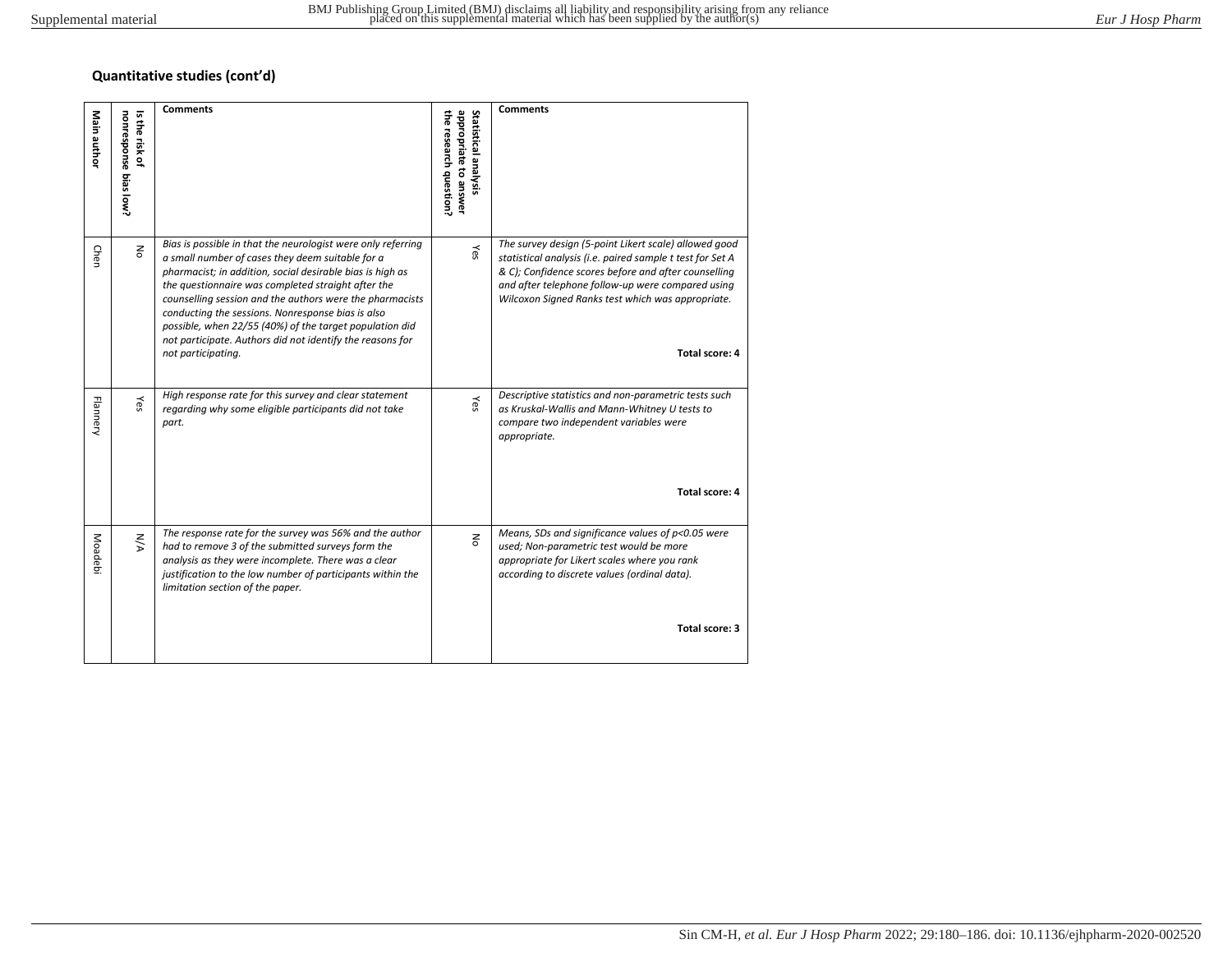## **Quantitative studies (cont'd)**

| Main author     | ᇬ<br>nonresponse bias low?<br>Ë<br>insk of | <b>Comments</b>                                                                                                                                                                                                                                                                                                                                                                                                                                                                                    | appropriate to answer<br>Statistical analysis<br>뭉<br>research question? | <b>Comments</b>                                                                                                                                                                                                                                                                                        |
|-----------------|--------------------------------------------|----------------------------------------------------------------------------------------------------------------------------------------------------------------------------------------------------------------------------------------------------------------------------------------------------------------------------------------------------------------------------------------------------------------------------------------------------------------------------------------------------|--------------------------------------------------------------------------|--------------------------------------------------------------------------------------------------------------------------------------------------------------------------------------------------------------------------------------------------------------------------------------------------------|
| Chen            | $\leq$                                     | Bias is possible in that the neurologist were only referring<br>a small number of cases they deem suitable for a<br>pharmacist; in addition, social desirable bias is high as<br>the questionnaire was completed straight after the<br>counselling session and the authors were the pharmacists<br>conducting the sessions. Nonresponse bias is also<br>possible, when 22/55 (40%) of the target population did<br>not participate. Authors did not identify the reasons for<br>not participating. | Υes                                                                      | The survey design (5-point Likert scale) allowed good<br>statistical analysis (i.e. paired sample t test for Set A<br>& C); Confidence scores before and after counselling<br>and after telephone follow-up were compared using<br>Wilcoxon Signed Ranks test which was appropriate.<br>Total score: 4 |
| <b>Flannery</b> | Υes                                        | High response rate for this survey and clear statement<br>regarding why some eligible participants did not take<br>part.                                                                                                                                                                                                                                                                                                                                                                           | Υes                                                                      | Descriptive statistics and non-parametric tests such<br>as Kruskal-Wallis and Mann-Whitney U tests to<br>compare two independent variables were<br>appropriate.<br>Total score: 4                                                                                                                      |
| Moadeb          | ΚA                                         | The response rate for the survey was 56% and the author<br>had to remove 3 of the submitted surveys form the<br>analysis as they were incomplete. There was a clear<br>justification to the low number of participants within the<br>limitation section of the paper.                                                                                                                                                                                                                              | $\overline{5}$                                                           | Means, SDs and significance values of p<0.05 were<br>used; Non-parametric test would be more<br>appropriate for Likert scales where you rank<br>according to discrete values (ordinal data).<br>Total score: 3                                                                                         |